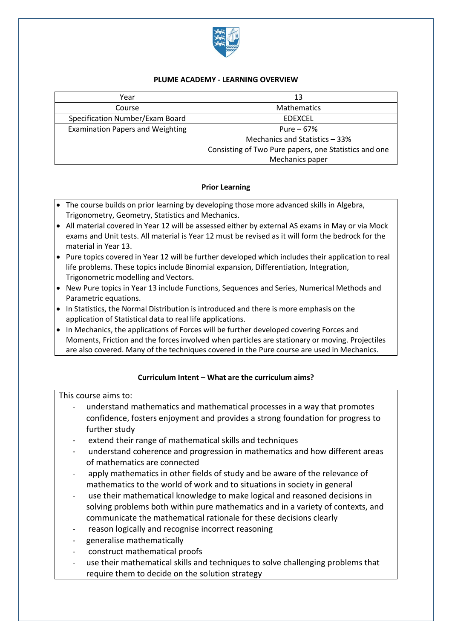

### **PLUME ACADEMY - LEARNING OVERVIEW**

| Year                                    | 13                                                    |
|-----------------------------------------|-------------------------------------------------------|
| Course                                  | <b>Mathematics</b>                                    |
| Specification Number/Exam Board         | <b>EDEXCEL</b>                                        |
| <b>Examination Papers and Weighting</b> | Pure $-67%$                                           |
|                                         | Mechanics and Statistics - 33%                        |
|                                         | Consisting of Two Pure papers, one Statistics and one |
|                                         | Mechanics paper                                       |

### **Prior Learning**

- The course builds on prior learning by developing those more advanced skills in Algebra, Trigonometry, Geometry, Statistics and Mechanics.
- All material covered in Year 12 will be assessed either by external AS exams in May or via Mock exams and Unit tests. All material is Year 12 must be revised as it will form the bedrock for the material in Year 13.
- Pure topics covered in Year 12 will be further developed which includes their application to real life problems. These topics include Binomial expansion, Differentiation, Integration, Trigonometric modelling and Vectors.
- New Pure topics in Year 13 include Functions, Sequences and Series, Numerical Methods and Parametric equations.
- In Statistics, the Normal Distribution is introduced and there is more emphasis on the application of Statistical data to real life applications.
- In Mechanics, the applications of Forces will be further developed covering Forces and Moments, Friction and the forces involved when particles are stationary or moving. Projectiles are also covered. Many of the techniques covered in the Pure course are used in Mechanics.

## **Curriculum Intent – What are the curriculum aims?**

This course aims to:

- understand mathematics and mathematical processes in a way that promotes confidence, fosters enjoyment and provides a strong foundation for progress to further study
- extend their range of mathematical skills and techniques
- understand coherence and progression in mathematics and how different areas of mathematics are connected
- apply mathematics in other fields of study and be aware of the relevance of mathematics to the world of work and to situations in society in general
- use their mathematical knowledge to make logical and reasoned decisions in solving problems both within pure mathematics and in a variety of contexts, and communicate the mathematical rationale for these decisions clearly
- reason logically and recognise incorrect reasoning
- generalise mathematically
- construct mathematical proofs
- use their mathematical skills and techniques to solve challenging problems that require them to decide on the solution strategy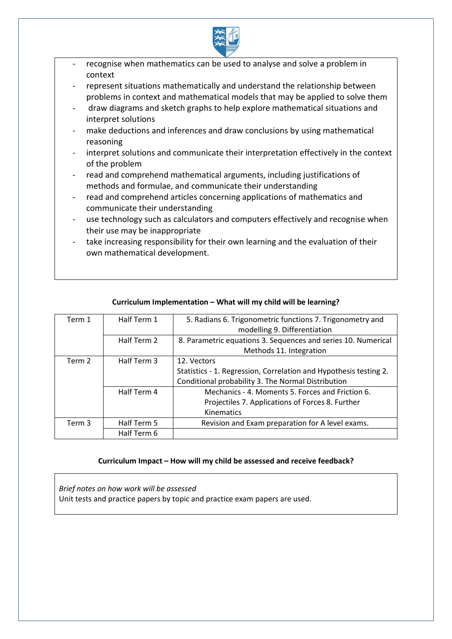

- recognise when mathematics can be used to analyse and solve a problem in context
- represent situations mathematically and understand the relationship between problems in context and mathematical models that may be applied to solve them
- draw diagrams and sketch graphs to help explore mathematical situations and interpret solutions
- make deductions and inferences and draw conclusions by using mathematical reasoning
- interpret solutions and communicate their interpretation effectively in the context of the problem
- read and comprehend mathematical arguments, including justifications of methods and formulae, and communicate their understanding
- read and comprehend articles concerning applications of mathematics and communicate their understanding
- use technology such as calculators and computers effectively and recognise when their use may be inappropriate
- take increasing responsibility for their own learning and the evaluation of their own mathematical development.

| Term 1 | Half Term 1 | 5. Radians 6. Trigonometric functions 7. Trigonometry and         |
|--------|-------------|-------------------------------------------------------------------|
|        |             | modelling 9. Differentiation                                      |
|        | Half Term 2 | 8. Parametric equations 3. Sequences and series 10. Numerical     |
|        |             | Methods 11. Integration                                           |
| Term 2 | Half Term 3 | 12. Vectors                                                       |
|        |             | Statistics - 1. Regression, Correlation and Hypothesis testing 2. |
|        |             | Conditional probability 3. The Normal Distribution                |
|        | Half Term 4 | Mechanics - 4. Moments 5. Forces and Friction 6.                  |
|        |             | Projectiles 7. Applications of Forces 8. Further                  |
|        |             | Kinematics                                                        |
| Term 3 | Half Term 5 | Revision and Exam preparation for A level exams.                  |
|        | Half Term 6 |                                                                   |

## **Curriculum Implementation – What will my child will be learning?**

#### **Curriculum Impact – How will my child be assessed and receive feedback?**

*Brief notes on how work will be assessed* Unit tests and practice papers by topic and practice exam papers are used.